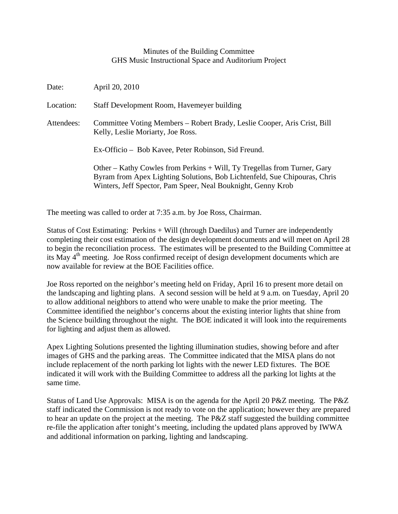## Minutes of the Building Committee GHS Music Instructional Space and Auditorium Project

| Date:      | April 20, 2010                                                                                                                                                                                                        |
|------------|-----------------------------------------------------------------------------------------------------------------------------------------------------------------------------------------------------------------------|
| Location:  | Staff Development Room, Havemeyer building                                                                                                                                                                            |
| Attendees: | Committee Voting Members – Robert Brady, Leslie Cooper, Aris Crist, Bill<br>Kelly, Leslie Moriarty, Joe Ross.                                                                                                         |
|            | Ex-Officio – Bob Kavee, Peter Robinson, Sid Freund.                                                                                                                                                                   |
|            | Other – Kathy Cowles from Perkins + Will, Ty Tregellas from Turner, Gary<br>Byram from Apex Lighting Solutions, Bob Lichtenfeld, Sue Chipouras, Chris<br>Winters, Jeff Spector, Pam Speer, Neal Bouknight, Genny Krob |

The meeting was called to order at 7:35 a.m. by Joe Ross, Chairman.

Status of Cost Estimating: Perkins + Will (through Daedilus) and Turner are independently completing their cost estimation of the design development documents and will meet on April 28 to begin the reconciliation process. The estimates will be presented to the Building Committee at its May  $4<sup>th</sup>$  meeting. Joe Ross confirmed receipt of design development documents which are now available for review at the BOE Facilities office.

Joe Ross reported on the neighbor's meeting held on Friday, April 16 to present more detail on the landscaping and lighting plans. A second session will be held at 9 a.m. on Tuesday, April 20 to allow additional neighbors to attend who were unable to make the prior meeting. The Committee identified the neighbor's concerns about the existing interior lights that shine from the Science building throughout the night. The BOE indicated it will look into the requirements for lighting and adjust them as allowed.

Apex Lighting Solutions presented the lighting illumination studies, showing before and after images of GHS and the parking areas. The Committee indicated that the MISA plans do not include replacement of the north parking lot lights with the newer LED fixtures. The BOE indicated it will work with the Building Committee to address all the parking lot lights at the same time.

Status of Land Use Approvals: MISA is on the agenda for the April 20 P&Z meeting. The P&Z staff indicated the Commission is not ready to vote on the application; however they are prepared to hear an update on the project at the meeting. The P&Z staff suggested the building committee re-file the application after tonight's meeting, including the updated plans approved by IWWA and additional information on parking, lighting and landscaping.